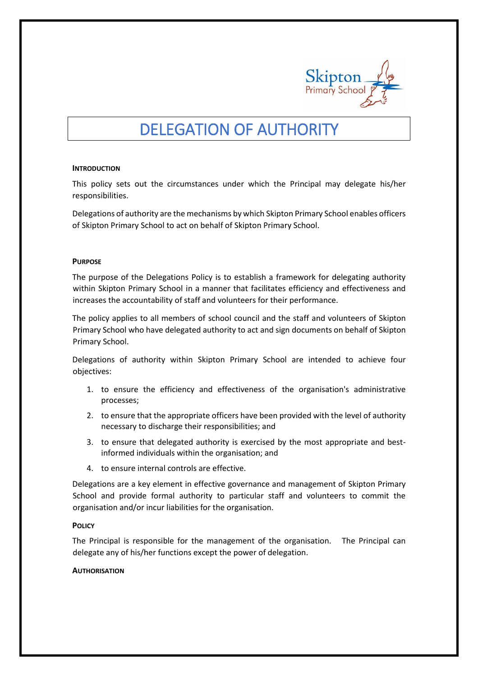

# DELEGATION OF AUTHORITY

#### **INTRODUCTION**

This policy sets out the circumstances under which the Principal may delegate his/her responsibilities.

Delegations of authority are the mechanisms by which Skipton Primary School enables officers of Skipton Primary School to act on behalf of Skipton Primary School.

### **PURPOSE**

The purpose of the Delegations Policy is to establish a framework for delegating authority within Skipton Primary School in a manner that facilitates efficiency and effectiveness and increases the accountability of staff and volunteers for their performance.

The policy applies to all members of school council and the staff and volunteers of Skipton Primary School who have delegated authority to act and sign documents on behalf of Skipton Primary School.

Delegations of authority within Skipton Primary School are intended to achieve four objectives:

- 1. to ensure the efficiency and effectiveness of the organisation's administrative processes;
- 2. to ensure that the appropriate officers have been provided with the level of authority necessary to discharge their responsibilities; and
- 3. to ensure that delegated authority is exercised by the most appropriate and bestinformed individuals within the organisation; and
- 4. to ensure internal controls are effective.

Delegations are a key element in effective governance and management of Skipton Primary School and provide formal authority to particular staff and volunteers to commit the organisation and/or incur liabilities for the organisation.

#### **POLICY**

The Principal is responsible for the management of the organisation. The Principal can delegate any of his/her functions except the power of delegation.

#### **AUTHORISATION**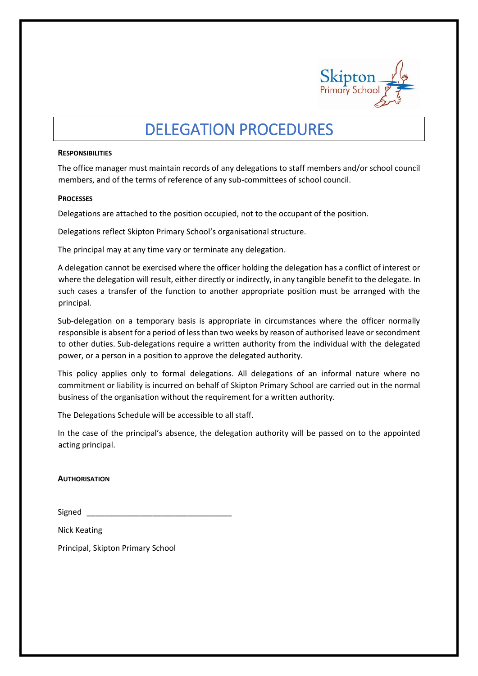

# DELEGATION PROCEDURES

#### **RESPONSIBILITIES**

The office manager must maintain records of any delegations to staff members and/or school council members, and of the terms of reference of any sub-committees of school council.

### **PROCESSES**

Delegations are attached to the position occupied, not to the occupant of the position.

Delegations reflect Skipton Primary School's organisational structure.

The principal may at any time vary or terminate any delegation.

A delegation cannot be exercised where the officer holding the delegation has a conflict of interest or where the delegation will result, either directly or indirectly, in any tangible benefit to the delegate. In such cases a transfer of the function to another appropriate position must be arranged with the principal.

Sub-delegation on a temporary basis is appropriate in circumstances where the officer normally responsible is absent for a period of less than two weeks by reason of authorised leave or secondment to other duties. Sub-delegations require a written authority from the individual with the delegated power, or a person in a position to approve the delegated authority.

This policy applies only to formal delegations. All delegations of an informal nature where no commitment or liability is incurred on behalf of Skipton Primary School are carried out in the normal business of the organisation without the requirement for a written authority.

The Delegations Schedule will be accessible to all staff.

In the case of the principal's absence, the delegation authority will be passed on to the appointed acting principal.

## **AUTHORISATION**

| Signed |  |
|--------|--|
|        |  |

Nick Keating

Principal, Skipton Primary School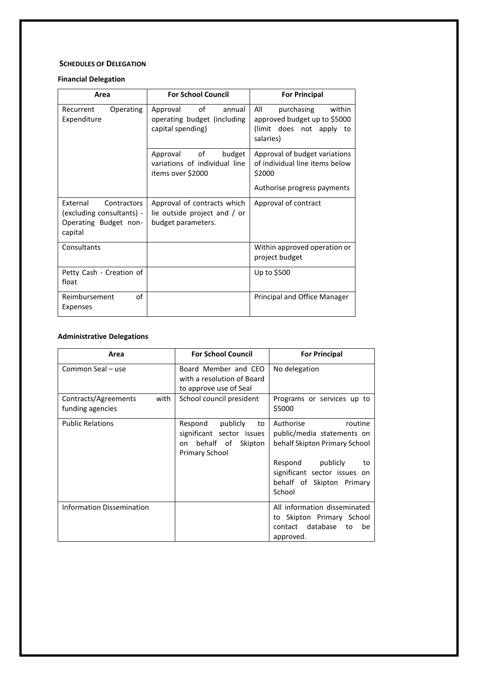### **SCHEDULES OF DELEGATION**

# **Financial Delegation**

| Area                                                                                     | <b>For School Council</b>                                                         | <b>For Principal</b>                                                                                     |  |
|------------------------------------------------------------------------------------------|-----------------------------------------------------------------------------------|----------------------------------------------------------------------------------------------------------|--|
| Operating<br>Recurrent<br>Expenditure                                                    | of<br>Approval<br>annual<br>operating budget (including<br>capital spending)      | All<br>within<br>purchasing<br>approved budget up to \$5000<br>(limit does not apply to<br>salaries)     |  |
|                                                                                          | budget<br>Approval<br>of<br>variations of individual line<br>items over \$2000    | Approval of budget variations<br>of individual line items below<br>\$2000<br>Authorise progress payments |  |
| External<br>Contractors<br>(excluding consultants) -<br>Operating Budget non-<br>capital | Approval of contracts which<br>lie outside project and / or<br>budget parameters. | Approval of contract                                                                                     |  |
| Consultants                                                                              |                                                                                   | Within approved operation or<br>project budget                                                           |  |
| Petty Cash - Creation of<br>float                                                        |                                                                                   | Up to \$500                                                                                              |  |
| of<br>Reimbursement<br>Expenses                                                          |                                                                                   | Principal and Office Manager                                                                             |  |

### **Administrative Delegations**

| Area                                             | <b>For School Council</b>                                                                           | <b>For Principal</b>                                                                                                                                                                 |  |
|--------------------------------------------------|-----------------------------------------------------------------------------------------------------|--------------------------------------------------------------------------------------------------------------------------------------------------------------------------------------|--|
| Common Seal - use                                | Board Member and CEO<br>with a resolution of Board<br>to approve use of Seal                        | No delegation                                                                                                                                                                        |  |
| with<br>Contracts/Agreements<br>funding agencies | School council president                                                                            | Programs or services up to<br>\$5000                                                                                                                                                 |  |
| <b>Public Relations</b>                          | Respond<br>publicly<br>to<br>significant sector issues<br>behalf of Skipton<br>on<br>Primary School | Authorise<br>routine<br>public/media statements on<br>behalf Skipton Primary School<br>Respond publicly<br>to<br>significant sector issues on<br>behalf of Skipton Primary<br>School |  |
| <b>Information Dissemination</b>                 |                                                                                                     | All information disseminated<br>to Skipton Primary School<br>contact database<br>to<br>be<br>approved.                                                                               |  |